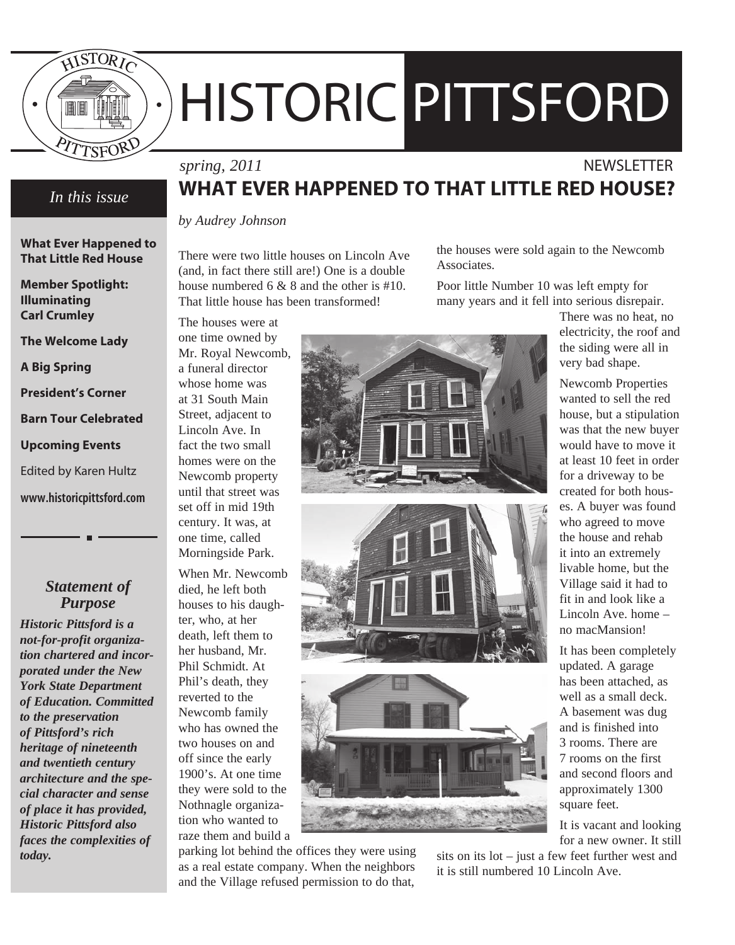

# HISTORIC PITTSFORD

# *In this issue*

**What Ever Happened to That Little Red House**

**Member Spotlight: Illuminating Carl Crumley**

**The Welcome Lady**

**A Big Spring**

**President's Corner**

**Barn Tour Celebrated**

**Upcoming Events**

Edited by Karen Hultz

www.historicpittsford.com

## *Statement of Purpose*

*Historic Pittsford is a not-for-profit organization chartered and incorporated under the New York State Department of Education. Committed to the preservation of Pittsford's rich heritage of nineteenth and twentieth century architecture and the special character and sense of place it has provided, Historic Pittsford also faces the complexities of today.*

# *spring, 2011* NEWSLETTER **WHAT EVER HAPPENED TO THAT Little Red House?**

*by Audrey Johnson*

There were two little houses on Lincoln Ave (and, in fact there still are!) One is a double house numbered 6 & 8 and the other is #10. That little house has been transformed!

The houses were at one time owned by

Mr. Royal Newcomb, a funeral director whose home was at 31 South Main Street, adjacent to Lincoln Ave. In fact the two small homes were on the Newcomb property until that street was set off in mid 19th century. It was, at one time, called Morningside Park.

When Mr. Newcomb died, he left both houses to his daughter, who, at her death, left them to her husband, Mr. Phil Schmidt. At Phil's death, they reverted to the Newcomb family who has owned the two houses on and off since the early 1900's. At one time they were sold to the Nothnagle organization who wanted to raze them and build a

parking lot behind the offices they were using as a real estate company. When the neighbors and the Village refused permission to do that,

the houses were sold again to the Newcomb Associates.

Poor little Number 10 was left empty for many years and it fell into serious disrepair.

> There was no heat, no electricity, the roof and the siding were all in very bad shape.

> Newcomb Properties wanted to sell the red house, but a stipulation was that the new buyer would have to move it at least 10 feet in order for a driveway to be created for both houses. A buyer was found who agreed to move the house and rehab it into an extremely livable home, but the Village said it had to fit in and look like a Lincoln Ave. home – no macMansion!

It has been completely updated. A garage has been attached, as well as a small deck. A basement was dug and is finished into 3 rooms. There are 7 rooms on the first and second floors and approximately 1300 square feet.

It is vacant and looking for a new owner. It still

sits on its lot – just a few feet further west and it is still numbered 10 Lincoln Ave.





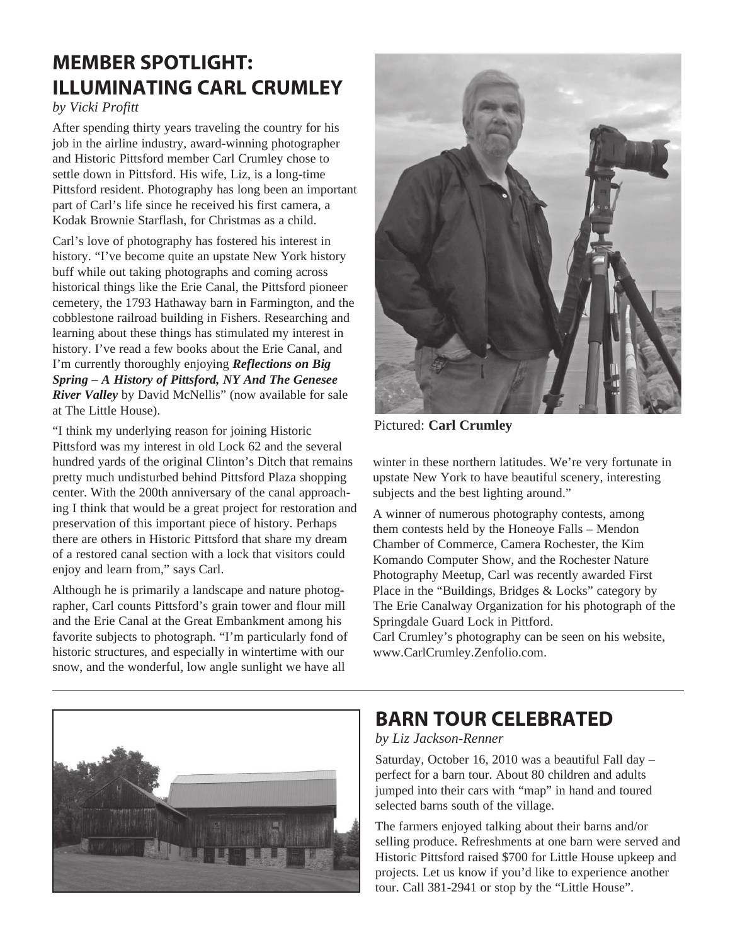# **Member Spotlight: Illuminating Carl Crumley**

## *by Vicki Profitt*

After spending thirty years traveling the country for his job in the airline industry, award-winning photographer and Historic Pittsford member Carl Crumley chose to settle down in Pittsford. His wife, Liz, is a long-time Pittsford resident. Photography has long been an important part of Carl's life since he received his first camera, a Kodak Brownie Starflash, for Christmas as a child.

Carl's love of photography has fostered his interest in history. "I've become quite an upstate New York history buff while out taking photographs and coming across historical things like the Erie Canal, the Pittsford pioneer cemetery, the 1793 Hathaway barn in Farmington, and the cobblestone railroad building in Fishers. Researching and learning about these things has stimulated my interest in history. I've read a few books about the Erie Canal, and I'm currently thoroughly enjoying *Reflections on Big Spring – A History of Pittsford, NY And The Genesee River Valley* by David McNellis" (now available for sale at The Little House).

"I think my underlying reason for joining Historic Pittsford was my interest in old Lock 62 and the several hundred yards of the original Clinton's Ditch that remains pretty much undisturbed behind Pittsford Plaza shopping center. With the 200th anniversary of the canal approaching I think that would be a great project for restoration and preservation of this important piece of history. Perhaps there are others in Historic Pittsford that share my dream of a restored canal section with a lock that visitors could enjoy and learn from," says Carl.

Although he is primarily a landscape and nature photographer, Carl counts Pittsford's grain tower and flour mill and the Erie Canal at the Great Embankment among his favorite subjects to photograph. "I'm particularly fond of historic structures, and especially in wintertime with our snow, and the wonderful, low angle sunlight we have all



Pictured: **Carl Crumley**

winter in these northern latitudes. We're very fortunate in upstate New York to have beautiful scenery, interesting subjects and the best lighting around."

A winner of numerous photography contests, among them contests held by the Honeoye Falls – Mendon Chamber of Commerce, Camera Rochester, the Kim Komando Computer Show, and the Rochester Nature Photography Meetup, Carl was recently awarded First Place in the "Buildings, Bridges & Locks" category by The Erie Canalway Organization for his photograph of the Springdale Guard Lock in Pittford.

Carl Crumley's photography can be seen on his website, www.CarlCrumley.Zenfolio.com.



# **BARN TOUR CELEBRATED**

## *by Liz Jackson-Renner*

Saturday, October 16, 2010 was a beautiful Fall day – perfect for a barn tour. About 80 children and adults jumped into their cars with "map" in hand and toured selected barns south of the village.

The farmers enjoyed talking about their barns and/or selling produce. Refreshments at one barn were served and Historic Pittsford raised \$700 for Little House upkeep and projects. Let us know if you'd like to experience another tour. Call 381-2941 or stop by the "Little House".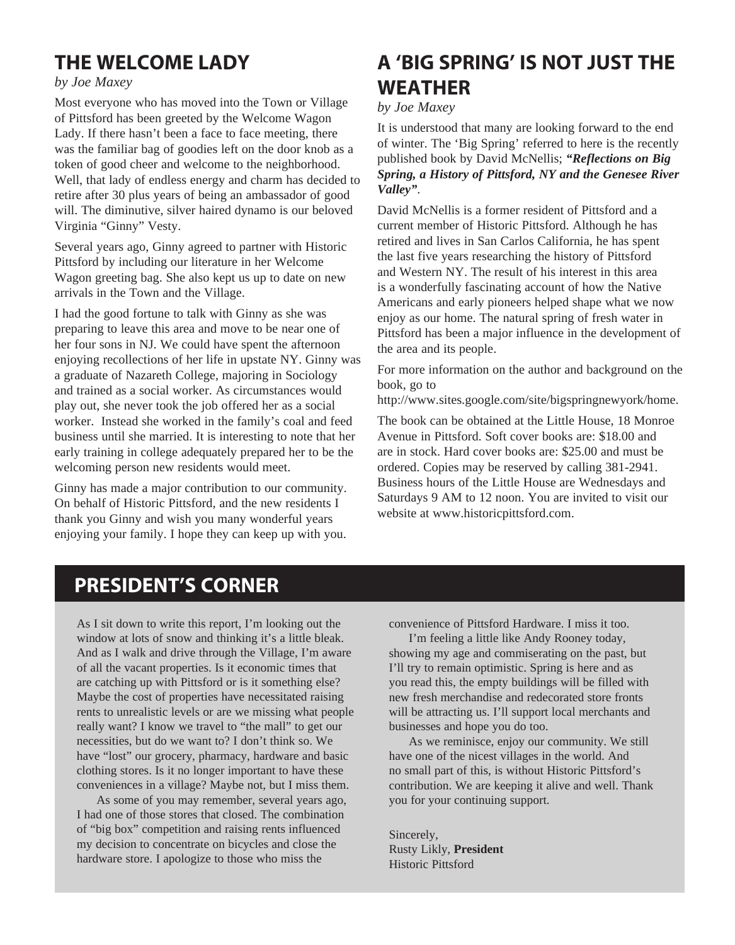# **THE WELCOME LADY**

## *by Joe Maxey*

Most everyone who has moved into the Town or Village of Pittsford has been greeted by the Welcome Wagon Lady. If there hasn't been a face to face meeting, there was the familiar bag of goodies left on the door knob as a token of good cheer and welcome to the neighborhood. Well, that lady of endless energy and charm has decided to retire after 30 plus years of being an ambassador of good will. The diminutive, silver haired dynamo is our beloved Virginia "Ginny" Vesty.

Several years ago, Ginny agreed to partner with Historic Pittsford by including our literature in her Welcome Wagon greeting bag. She also kept us up to date on new arrivals in the Town and the Village.

I had the good fortune to talk with Ginny as she was preparing to leave this area and move to be near one of her four sons in NJ. We could have spent the afternoon enjoying recollections of her life in upstate NY. Ginny was a graduate of Nazareth College, majoring in Sociology and trained as a social worker. As circumstances would play out, she never took the job offered her as a social worker. Instead she worked in the family's coal and feed business until she married. It is interesting to note that her early training in college adequately prepared her to be the welcoming person new residents would meet.

Ginny has made a major contribution to our community. On behalf of Historic Pittsford, and the new residents I thank you Ginny and wish you many wonderful years enjoying your family. I hope they can keep up with you.

# **A 'BIG SPRING' IS NOT JUST THE WEATHER**

*by Joe Maxey* 

It is understood that many are looking forward to the end of winter. The 'Big Spring' referred to here is the recently published book by David McNellis; *"Reflections on Big Spring, a History of Pittsford, NY and the Genesee River Valley"*.

David McNellis is a former resident of Pittsford and a current member of Historic Pittsford. Although he has retired and lives in San Carlos California, he has spent the last five years researching the history of Pittsford and Western NY. The result of his interest in this area is a wonderfully fascinating account of how the Native Americans and early pioneers helped shape what we now enjoy as our home. The natural spring of fresh water in Pittsford has been a major influence in the development of the area and its people.

For more information on the author and background on the book, go to

http://www.sites.google.com/site/bigspringnewyork/home.

The book can be obtained at the Little House, 18 Monroe Avenue in Pittsford. Soft cover books are: \$18.00 and are in stock. Hard cover books are: \$25.00 and must be ordered. Copies may be reserved by calling 381-2941. Business hours of the Little House are Wednesdays and Saturdays 9 AM to 12 noon. You are invited to visit our website at www.historicpittsford.com.

# **PRESIDENT'S CORNER**

As I sit down to write this report, I'm looking out the window at lots of snow and thinking it's a little bleak. And as I walk and drive through the Village, I'm aware of all the vacant properties. Is it economic times that are catching up with Pittsford or is it something else? Maybe the cost of properties have necessitated raising rents to unrealistic levels or are we missing what people really want? I know we travel to "the mall" to get our necessities, but do we want to? I don't think so. We have "lost" our grocery, pharmacy, hardware and basic clothing stores. Is it no longer important to have these conveniences in a village? Maybe not, but I miss them.

As some of you may remember, several years ago, I had one of those stores that closed. The combination of "big box" competition and raising rents influenced my decision to concentrate on bicycles and close the hardware store. I apologize to those who miss the

convenience of Pittsford Hardware. I miss it too.

I'm feeling a little like Andy Rooney today, showing my age and commiserating on the past, but I'll try to remain optimistic. Spring is here and as you read this, the empty buildings will be filled with new fresh merchandise and redecorated store fronts will be attracting us. I'll support local merchants and businesses and hope you do too.

As we reminisce, enjoy our community. We still have one of the nicest villages in the world. And no small part of this, is without Historic Pittsford's contribution. We are keeping it alive and well. Thank you for your continuing support.

Sincerely, Rusty Likly, **President** Historic Pittsford